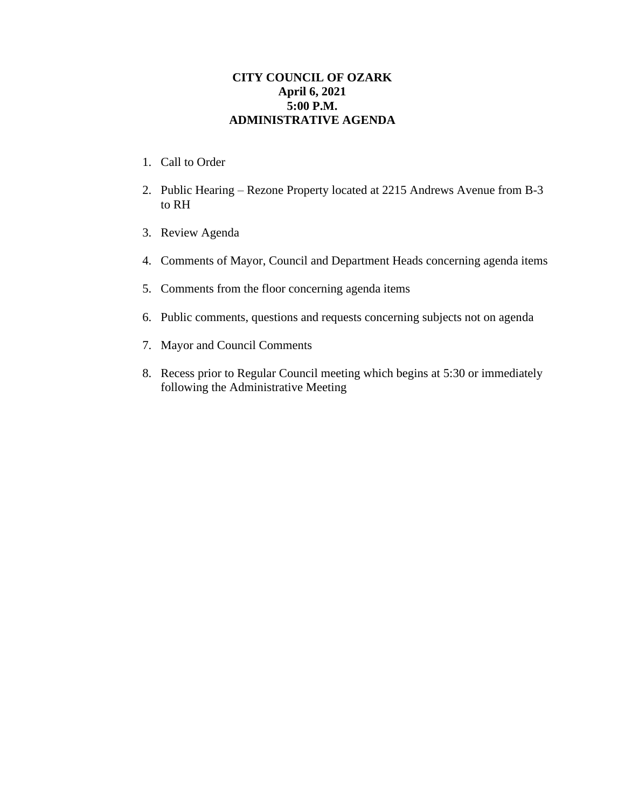## **CITY COUNCIL OF OZARK April 6, 2021 5:00 P.M. ADMINISTRATIVE AGENDA**

- 1. Call to Order
- 2. Public Hearing Rezone Property located at 2215 Andrews Avenue from B-3 to RH
- 3. Review Agenda
- 4. Comments of Mayor, Council and Department Heads concerning agenda items
- 5. Comments from the floor concerning agenda items
- 6. Public comments, questions and requests concerning subjects not on agenda
- 7. Mayor and Council Comments
- 8. Recess prior to Regular Council meeting which begins at 5:30 or immediately following the Administrative Meeting